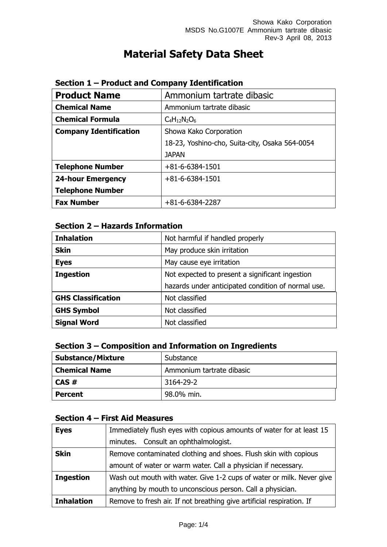# **Material Safety Data Sheet**

| <b>Product Name</b>           | Ammonium tartrate dibasic                      |  |
|-------------------------------|------------------------------------------------|--|
| <b>Chemical Name</b>          | Ammonium tartrate dibasic                      |  |
| <b>Chemical Formula</b>       | $C_4H_{12}N_2O_6$                              |  |
| <b>Company Identification</b> | Showa Kako Corporation                         |  |
|                               | 18-23, Yoshino-cho, Suita-city, Osaka 564-0054 |  |
|                               | <b>JAPAN</b>                                   |  |
| <b>Telephone Number</b>       | $+81 - 6 - 6384 - 1501$                        |  |
| <b>24-hour Emergency</b>      | $+81-6-6384-1501$                              |  |
| <b>Telephone Number</b>       |                                                |  |
| <b>Fax Number</b>             | $+81-6-6384-2287$                              |  |

#### **Section 1 – Product and Company Identification**

# **Section 2 – Hazards Information**

| <b>Inhalation</b>         | Not harmful if handled properly                    |  |
|---------------------------|----------------------------------------------------|--|
| <b>Skin</b>               | May produce skin irritation                        |  |
| <b>Eyes</b>               | May cause eye irritation                           |  |
| <b>Ingestion</b>          | Not expected to present a significant ingestion    |  |
|                           | hazards under anticipated condition of normal use. |  |
| <b>GHS Classification</b> | Not classified                                     |  |
| <b>GHS Symbol</b>         | Not classified                                     |  |
| <b>Signal Word</b>        | Not classified                                     |  |

# **Section 3 – Composition and Information on Ingredients**

| <b>Substance/Mixture</b> | Substance                 |
|--------------------------|---------------------------|
| <b>Chemical Name</b>     | Ammonium tartrate dibasic |
| CAS#                     | 3164-29-2                 |
| <b>Percent</b>           | 98.0% min.                |

# **Section 4 – First Aid Measures**

| <b>Eyes</b>       | Immediately flush eyes with copious amounts of water for at least 15  |  |
|-------------------|-----------------------------------------------------------------------|--|
|                   | minutes. Consult an ophthalmologist.                                  |  |
| <b>Skin</b>       | Remove contaminated clothing and shoes. Flush skin with copious       |  |
|                   | amount of water or warm water. Call a physician if necessary.         |  |
| <b>Ingestion</b>  | Wash out mouth with water. Give 1-2 cups of water or milk. Never give |  |
|                   | anything by mouth to unconscious person. Call a physician.            |  |
| <b>Inhalation</b> | Remove to fresh air. If not breathing give artificial respiration. If |  |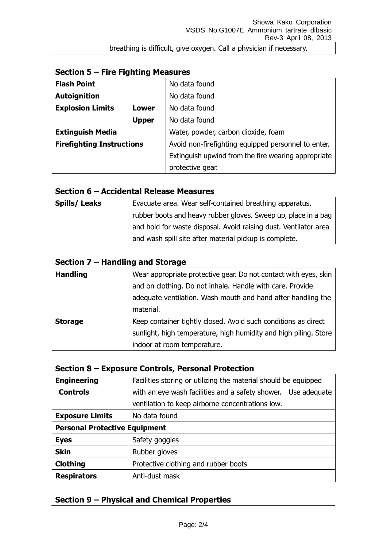breathing is difficult, give oxygen. Call a physician if necessary.

| <b>Flash Point</b>               |              | No data found                                       |  |
|----------------------------------|--------------|-----------------------------------------------------|--|
| <b>Autoignition</b>              |              | No data found                                       |  |
| <b>Explosion Limits</b><br>Lower |              | No data found                                       |  |
|                                  | <b>Upper</b> | No data found                                       |  |
| <b>Extinguish Media</b>          |              | Water, powder, carbon dioxide, foam                 |  |
| <b>Firefighting Instructions</b> |              | Avoid non-firefighting equipped personnel to enter. |  |
|                                  |              | Extinguish upwind from the fire wearing appropriate |  |
|                                  |              | protective gear.                                    |  |

## **Section 6 – Accidental Release Measures**

| <b>Spills/Leaks</b> | Evacuate area. Wear self-contained breathing apparatus,                     |
|---------------------|-----------------------------------------------------------------------------|
|                     | <sup>1</sup> rubber boots and heavy rubber gloves. Sweep up, place in a bag |
|                     | and hold for waste disposal. Avoid raising dust. Ventilator area            |
|                     | and wash spill site after material pickup is complete.                      |

# **Section 7 – Handling and Storage**

| <b>Handling</b> | Wear appropriate protective gear. Do not contact with eyes, skin |
|-----------------|------------------------------------------------------------------|
|                 | and on clothing. Do not inhale. Handle with care. Provide        |
|                 | adequate ventilation. Wash mouth and hand after handling the     |
|                 | material.                                                        |
| <b>Storage</b>  | Keep container tightly closed. Avoid such conditions as direct   |
|                 | sunlight, high temperature, high humidity and high piling. Store |
|                 | indoor at room temperature.                                      |

#### **Section 8 – Exposure Controls, Personal Protection**

| <b>Engineering</b>                   | Facilities storing or utilizing the material should be equipped |  |
|--------------------------------------|-----------------------------------------------------------------|--|
| <b>Controls</b>                      | with an eye wash facilities and a safety shower. Use adequate   |  |
|                                      | ventilation to keep airborne concentrations low.                |  |
| <b>Exposure Limits</b>               | No data found                                                   |  |
| <b>Personal Protective Equipment</b> |                                                                 |  |
| <b>Eyes</b>                          | Safety goggles                                                  |  |
| <b>Skin</b>                          | Rubber gloves                                                   |  |
| <b>Clothing</b>                      | Protective clothing and rubber boots                            |  |
| <b>Respirators</b>                   | Anti-dust mask                                                  |  |

#### **Section 9 – Physical and Chemical Properties**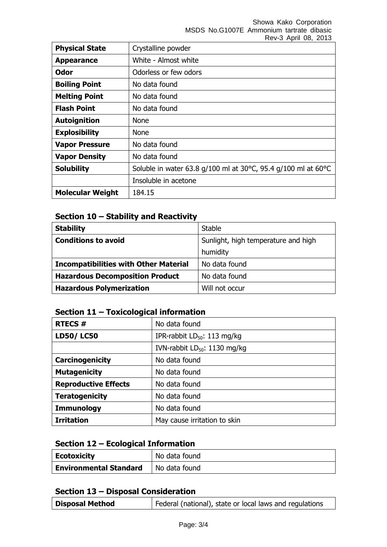Showa Kako Corporation MSDS No.G1007E Ammonium tartrate dibasic Rev-3 April 08, 2013

|                         | REV-3 ADIII UO, ZUIJ                                          |
|-------------------------|---------------------------------------------------------------|
| <b>Physical State</b>   | Crystalline powder                                            |
| <b>Appearance</b>       | White - Almost white                                          |
| <b>Odor</b>             | Odorless or few odors                                         |
| <b>Boiling Point</b>    | No data found                                                 |
| <b>Melting Point</b>    | No data found                                                 |
| <b>Flash Point</b>      | No data found                                                 |
| <b>Autoignition</b>     | <b>None</b>                                                   |
| <b>Explosibility</b>    | <b>None</b>                                                   |
| <b>Vapor Pressure</b>   | No data found                                                 |
| <b>Vapor Density</b>    | No data found                                                 |
| <b>Solubility</b>       | Soluble in water 63.8 g/100 ml at 30°C, 95.4 g/100 ml at 60°C |
|                         | Insoluble in acetone                                          |
| <b>Molecular Weight</b> | 184.15                                                        |

# **Section 10 – Stability and Reactivity**

| <b>Stability</b>                             | <b>Stable</b>                       |
|----------------------------------------------|-------------------------------------|
| <b>Conditions to avoid</b>                   | Sunlight, high temperature and high |
|                                              | humidity                            |
| <b>Incompatibilities with Other Material</b> | No data found                       |
| <b>Hazardous Decomposition Product</b>       | No data found                       |
| <b>Hazardous Polymerization</b>              | Will not occur                      |

# **Section 11 – Toxicological information**

| <b>RTECS#</b>               | No data found                            |  |
|-----------------------------|------------------------------------------|--|
| <b>LD50/LC50</b>            | IPR-rabbit $LD_{50}$ : 113 mg/kg         |  |
|                             | IVN-rabbit LD <sub>50</sub> : 1130 mg/kg |  |
| Carcinogenicity             | No data found                            |  |
| <b>Mutagenicity</b>         | No data found                            |  |
| <b>Reproductive Effects</b> | No data found                            |  |
| <b>Teratogenicity</b>       | No data found                            |  |
| <b>Immunology</b>           | No data found                            |  |
| <b>Irritation</b>           | May cause irritation to skin             |  |

#### **Section 12 – Ecological Information**

| <b>Ecotoxicity</b>            | No data found |
|-------------------------------|---------------|
| <b>Environmental Standard</b> | No data found |

# **Section 13 – Disposal Consideration**

| Disposal Method | Federal (national), state or local laws and regulations |
|-----------------|---------------------------------------------------------|
|-----------------|---------------------------------------------------------|